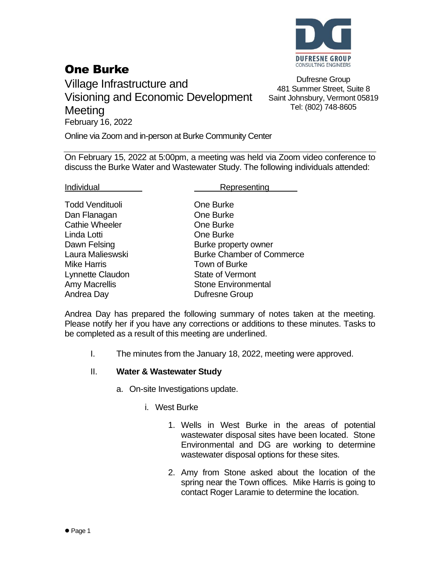

# One Burke

Village Infrastructure and Visioning and Economic Development **Meeting** February 16, 2022

Dufresne Group 481 Summer Street, Suite 8 Saint Johnsbury, Vermont 05819 Tel: (802) 748-8605

Online via Zoom and in-person at Burke Community Center

On February 15, 2022 at 5:00pm, a meeting was held via Zoom video conference to discuss the Burke Water and Wastewater Study. The following individuals attended:

Todd Vendituoli **Communist Communist Communist Communist Cone Burke** Dan Flanagan **Dan Flanagan** One Burke Cathie Wheeler **Cathie Wheeler Cathie Wheeler** Linda Lotti One Burke Mike Harris Town of Burke Andrea Day **Dufresne Group** 

#### Individual **Representing**

Dawn Felsing **Burke property owner** Laura Malieswski Burke Chamber of Commerce Lynnette Claudon State of Vermont Amy Macrellis **National Stone Environmental** 

Andrea Day has prepared the following summary of notes taken at the meeting. Please notify her if you have any corrections or additions to these minutes. Tasks to be completed as a result of this meeting are underlined.

I. The minutes from the January 18, 2022, meeting were approved.

## II. **Water & Wastewater Study**

- a. On-site Investigations update.
	- i. West Burke
		- 1. Wells in West Burke in the areas of potential wastewater disposal sites have been located. Stone Environmental and DG are working to determine wastewater disposal options for these sites.
		- 2. Amy from Stone asked about the location of the spring near the Town offices. Mike Harris is going to contact Roger Laramie to determine the location.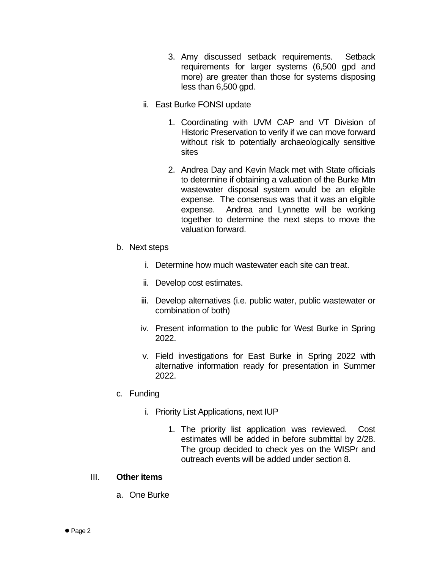- 3. Amy discussed setback requirements. Setback requirements for larger systems (6,500 gpd and more) are greater than those for systems disposing less than 6,500 gpd.
- ii. East Burke FONSI update
	- 1. Coordinating with UVM CAP and VT Division of Historic Preservation to verify if we can move forward without risk to potentially archaeologically sensitive sites
	- 2. Andrea Day and Kevin Mack met with State officials to determine if obtaining a valuation of the Burke Mtn wastewater disposal system would be an eligible expense. The consensus was that it was an eligible expense. Andrea and Lynnette will be working together to determine the next steps to move the valuation forward.
- b. Next steps
	- i. Determine how much wastewater each site can treat.
	- ii. Develop cost estimates.
	- iii. Develop alternatives (i.e. public water, public wastewater or combination of both)
	- iv. Present information to the public for West Burke in Spring 2022.
	- v. Field investigations for East Burke in Spring 2022 with alternative information ready for presentation in Summer 2022.
- c. Funding
	- i. Priority List Applications, next IUP
		- 1. The priority list application was reviewed. Cost estimates will be added in before submittal by 2/28. The group decided to check yes on the WISPr and outreach events will be added under section 8.

## III. **Other items**

a. One Burke